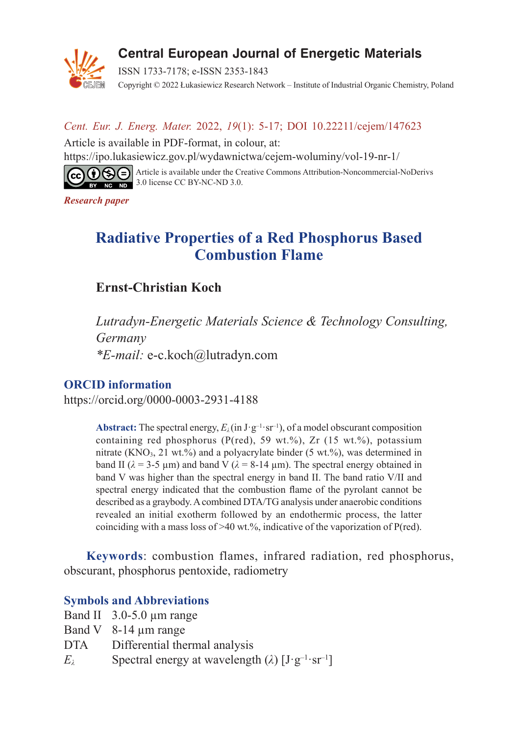

# Central European Journal of Energetic Materials

ISSN 1733-7178; e-ISSN 2353-1843 Copyright © 2022 Łukasiewicz Research Network – Institute of Industrial Organic Chemistry, Poland

### *Cent. Eur. J. Energ. Mater.* 2022, *19*(1): 5-17; DOI 10.22211/cejem/147623

Article is available in PDF-format, in colour, at: https://ipo.lukasiewicz.gov.pl/wydawnictwa/cejem-woluminy/vol-19-nr-1/



Article is available under the Creative Commons Attribution-Noncommercial-NoDerivs  $\frac{1}{3.0}$  license CC BY-NC-ND 3.0.

*Research paper*

# **Radiative Properties of a Red Phosphorus Based Combustion Flame**

## **Ernst-Christian Koch**

*Lutradyn-Energetic Materials Science & Technology Consulting, Germany \*E-mail:* e-c.koch@lutradyn.com

### **ORCID information**

https://orcid.org/0000-0003-2931-4188

**Abstract:** The spectral energy,  $E_\lambda$  (in J·g<sup>-1</sup>·sr<sup>-1</sup>), of a model obscurant composition containing red phosphorus (P(red), 59 wt.%), Zr (15 wt.%), potassium nitrate (KNO<sub>3</sub>, 21 wt.%) and a polyacrylate binder (5 wt.%), was determined in band II ( $λ = 3-5 \mu m$ ) and band V ( $λ = 8-14 \mu m$ ). The spectral energy obtained in band V was higher than the spectral energy in band II. The band ratio V/II and spectral energy indicated that the combustion flame of the pyrolant cannot be described as a graybody. Acombined DTA/TG analysis under anaerobic conditions revealed an initial exotherm followed by an endothermic process, the latter coinciding with a mass loss of  $>40$  wt.%, indicative of the vaporization of P(red).

**Keywords**: combustion flames, infrared radiation, red phosphorus, obscurant, phosphorus pentoxide, radiometry

### **Symbols and Abbreviations**

- Band II 3.0-5.0 µm range
- Band V 8-14 µm range
- DTA Differential thermal analysis
- *E*<sub> $\lambda$ </sub> Spectral energy at wavelength ( $\lambda$ )  $[J \cdot g^{-1} \cdot sr^{-1}]$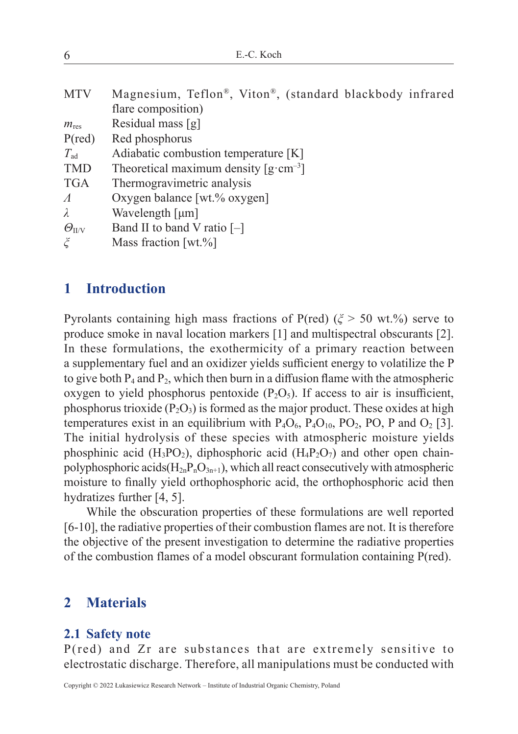| E.-C. Koch<br>6 |
|-----------------|
|-----------------|

| <b>MTV</b>              | Magnesium, Teflon®, Viton®, (standard blackbody infrared               |
|-------------------------|------------------------------------------------------------------------|
|                         | flare composition)                                                     |
| $m_{\rm res}$           | Residual mass $[g]$                                                    |
| $P(\text{red})$         | Red phosphorus                                                         |
| $T_{\rm ad}$            | Adiabatic combustion temperature [K]                                   |
| <b>TMD</b>              | Theoretical maximum density $\left[\text{g}\cdot\text{cm}^{-3}\right]$ |
| <b>TGA</b>              | Thermogravimetric analysis                                             |
| $\varLambda$            | Oxygen balance [wt.% oxygen]                                           |
| $\lambda$               | Wavelength $[µm]$                                                      |
| $\varTheta_\text{II/V}$ | Band II to band V ratio $[-]$                                          |
| $\tilde{\zeta}$         | Mass fraction [wt. $%$ ]                                               |
|                         |                                                                        |

### **1 Introduction**

Pyrolants containing high mass fractions of P(red) (*ξ* > 50 wt.%) serve to produce smoke in naval location markers [1] and multispectral obscurants [2]. In these formulations, the exothermicity of a primary reaction between a supplementary fuel and an oxidizer yields sufficient energy to volatilize the P to give both  $P_4$  and  $P_2$ , which then burn in a diffusion flame with the atmospheric oxygen to yield phosphorus pentoxide  $(P_2O_5)$ . If access to air is insufficient, phosphorus trioxide  $(P_2O_3)$  is formed as the major product. These oxides at high temperatures exist in an equilibrium with  $P_4O_6$ ,  $P_4O_{10}$ ,  $PO_2$ ,  $PO$ ,  $P$  and  $O_2$  [3]. The initial hydrolysis of these species with atmospheric moisture yields phosphinic acid  $(H_3PO_2)$ , diphosphoric acid  $(H_4P_2O_7)$  and other open chainpolyphosphoric acids( $H_{2n}P_nO_{3n+1}$ ), which all react consecutively with atmospheric moisture to finally yield orthophosphoric acid, the orthophosphoric acid then hydratizes further [4, 5].

While the obscuration properties of these formulations are well reported [6-10], the radiative properties of their combustion flames are not. It is therefore the objective of the present investigation to determine the radiative properties of the combustion flames of a model obscurant formulation containing P(red).

### **2 Materials**

#### **2.1 Safety note**

P(red) and Zr are substances that are extremely sensitive to electrostatic discharge. Therefore, all manipulations must be conducted with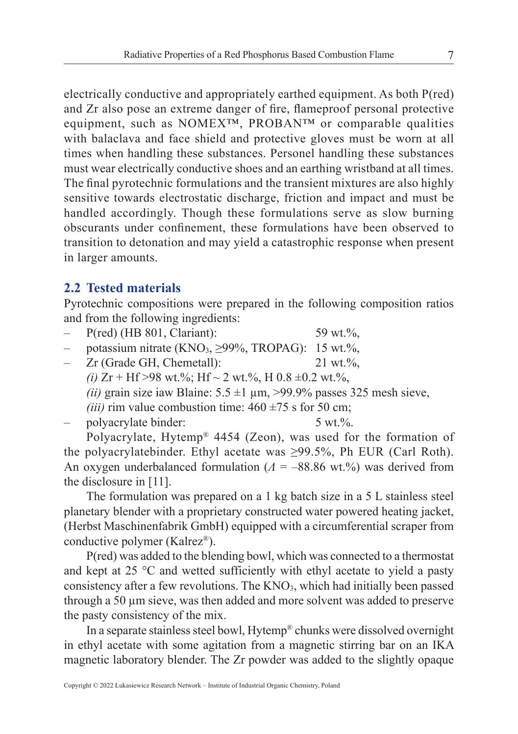electrically conductive and appropriately earthed equipment. As both P(red) and Zr also pose an extreme danger of fire, flameproof personal protective equipment, such as NOMEX™, PROBAN™ or comparable qualities with balaclava and face shield and protective gloves must be worn at all times when handling these substances. Personel handling these substances must wear electrically conductive shoes and an earthing wristband at all times. The final pyrotechnic formulations and the transient mixtures are also highly sensitive towards electrostatic discharge, friction and impact and must be handled accordingly. Though these formulations serve as slow burning obscurants under confinement, these formulations have been observed to transition to detonation and may yield a catastrophic response when present in larger amounts.

### **2.2 Tested materials**

Pyrotechnic compositions were prepared in the following composition ratios and from the following ingredients:

- P(red) (HB 801, Clariant): 59 wt.%,
- potassium nitrate (KNO<sub>3</sub>,  $\geq$ 99%, TROPAG): 15 wt.%,
- Zr (Grade GH, Chemetall): 21 wt.%, *(i)*  $Zr$  + Hf >98 wt.%; Hf ~ 2 wt.%, H 0.8 ±0.2 wt.%, *(ii)* grain size iaw Blaine:  $5.5 \pm 1 \mu m$ ,  $>99.9\%$  passes 325 mesh sieve, *(iii)* rim value combustion time:  $460 \pm 75$  s for 50 cm;
- polyacrylate binder: 5 wt.%.

Polyacrylate, Hytemp® 4454 (Zeon), was used for the formation of the polyacrylatebinder. Ethyl acetate was ≥99.5%, Ph EUR (Carl Roth). An oxygen underbalanced formulation (*Λ* = –88.86 wt.%) was derived from the disclosure in [11].

The formulation was prepared on a 1 kg batch size in a 5 L stainless steel planetary blender with a proprietary constructed water powered heating jacket, (Herbst Maschinenfabrik GmbH) equipped with a circumferential scraper from conductive polymer (Kalrez®).

P(red) was added to the blending bowl, which was connected to a thermostat and kept at 25 °C and wetted sufficiently with ethyl acetate to yield a pasty consistency after a few revolutions. The KNO<sub>3</sub>, which had initially been passed through a 50 µm sieve, was then added and more solvent was added to preserve the pasty consistency of the mix.

In a separate stainless steel bowl, Hytemp® chunks were dissolved overnight in ethyl acetate with some agitation from a magnetic stirring bar on an IKA magnetic laboratory blender. The Zr powder was added to the slightly opaque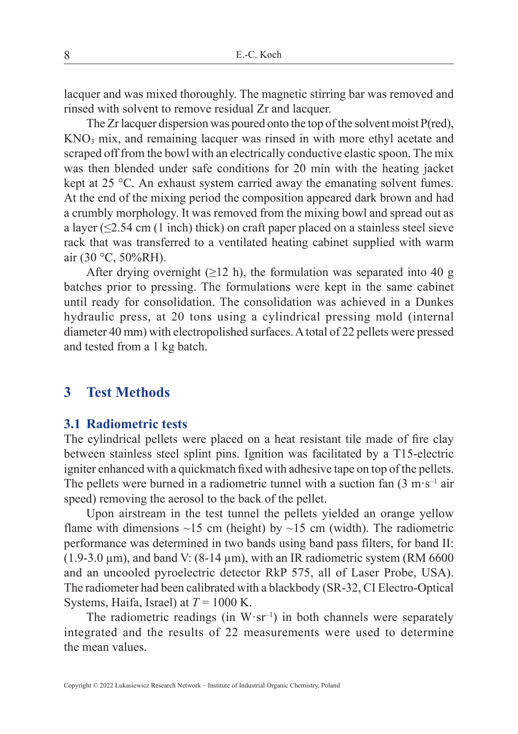lacquer and was mixed thoroughly. The magnetic stirring bar was removed and rinsed with solvent to remove residual Zr and lacquer.

The Zr lacquer dispersion was poured onto the top of the solvent moist P(red), KNO3 mix, and remaining lacquer was rinsed in with more ethyl acetate and scraped off from the bowl with an electrically conductive elastic spoon. The mix was then blended under safe conditions for 20 min with the heating jacket kept at 25 °C. An exhaust system carried away the emanating solvent fumes. At the end of the mixing period the composition appeared dark brown and had a crumbly morphology. It was removed from the mixing bowl and spread out as a layer ( $\leq$ 2.54 cm (1 inch) thick) on craft paper placed on a stainless steel sieve rack that was transferred to a ventilated heating cabinet supplied with warm air (30 °C, 50%RH).

After drying overnight ( $\geq$ 12 h), the formulation was separated into 40 g batches prior to pressing. The formulations were kept in the same cabinet until ready for consolidation. The consolidation was achieved in a Dunkes hydraulic press, at 20 tons using a cylindrical pressing mold (internal diameter 40 mm) with electropolished surfaces. Atotal of 22 pellets were pressed and tested from a 1 kg batch.

### **3 Test Methods**

#### **3.1 Radiometric tests**

The cylindrical pellets were placed on a heat resistant tile made of fire clay between stainless steel splint pins. Ignition was facilitated by a T15-electric igniter enhanced with a quickmatch fixed with adhesive tape on top of the pellets. The pellets were burned in a radiometric tunnel with a suction fan  $(3 \text{ m} \cdot \text{s}^{-1})$  air speed) removing the aerosol to the back of the pellet.

Upon airstream in the test tunnel the pellets yielded an orange yellow flame with dimensions  $\sim$ 15 cm (height) by  $\sim$ 15 cm (width). The radiometric performance was determined in two bands using band pass filters, for band II: (1.9-3.0  $\mu$ m), and band V: (8-14  $\mu$ m), with an IR radiometric system (RM 6600) and an uncooled pyroelectric detector RkP 575, all of Laser Probe, USA). The radiometer had been calibrated with a blackbody (SR-32, CI Electro-Optical Systems, Haifa, Israel) at *T* = 1000 K.

The radiometric readings (in  $W \cdot sr^{-1}$ ) in both channels were separately integrated and the results of 22 measurements were used to determine the mean values.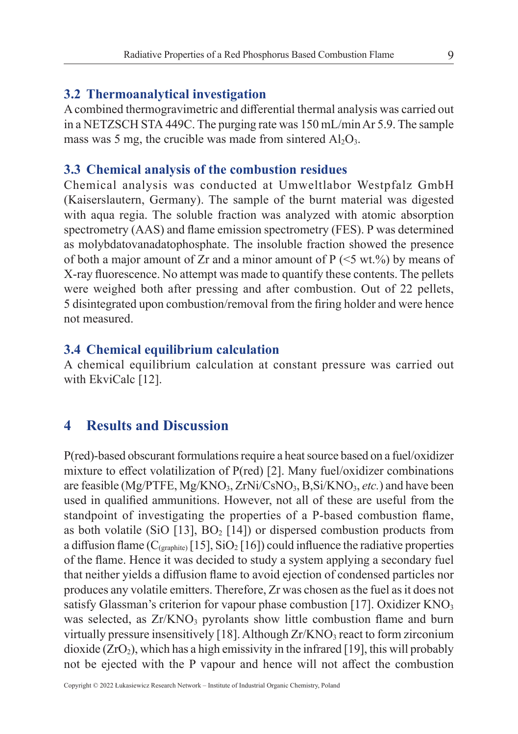#### **3.2 Thermoanalytical investigation**

A combined thermogravimetric and differential thermal analysis was carried out in a NETZSCH STA 449C. The purging rate was 150 mL/min Ar 5.9. The sample mass was 5 mg, the crucible was made from sintered  $Al_2O_3$ .

#### **3.3 Chemical analysis of the combustion residues**

Chemical analysis was conducted at Umweltlabor Westpfalz GmbH (Kaiserslautern, Germany). The sample of the burnt material was digested with aqua regia. The soluble fraction was analyzed with atomic absorption spectrometry (AAS) and flame emission spectrometry (FES). P was determined as molybdatovanadatophosphate. The insoluble fraction showed the presence of both a major amount of Zr and a minor amount of  $P \le 5$  wt.%) by means of X-ray fluorescence. No attempt was made to quantify these contents. The pellets were weighed both after pressing and after combustion. Out of 22 pellets, 5 disintegrated upon combustion/removal from the firing holder and were hence not measured.

### **3.4 Chemical equilibrium calculation**

A chemical equilibrium calculation at constant pressure was carried out with EkviCalc [12].

### **4 Results and Discussion**

P(red)-based obscurant formulations require a heat source based on a fuel/oxidizer mixture to effect volatilization of P(red) [2]. Many fuel/oxidizer combinations are feasible (Mg/PTFE, Mg/KNO<sub>3</sub>, ZrNi/CsNO<sub>3</sub>, B,Si/KNO<sub>3</sub>, *etc.*) and have been used in qualified ammunitions. However, not all of these are useful from the standpoint of investigating the properties of a P-based combustion flame, as both volatile (SiO [13],  $BO<sub>2</sub>$  [14]) or dispersed combustion products from a diffusion flame  $(C_{\text{(graphite)}}[15], SiO_2[16])$  could influence the radiative properties of the flame. Hence it was decided to study a system applying a secondary fuel that neither yields a diffusion flame to avoid ejection of condensed particles nor produces any volatile emitters. Therefore, Zr was chosen as the fuel as it does not satisfy Glassman's criterion for vapour phase combustion [17]. Oxidizer  $KNO<sub>3</sub>$ was selected, as  $Zr/KNO<sub>3</sub>$  pyrolants show little combustion flame and burn virtually pressure insensitively [18]. Although  $Zr/KNO_3$  react to form zirconium dioxide  $(ZrO<sub>2</sub>)$ , which has a high emissivity in the infrared [19], this will probably not be ejected with the P vapour and hence will not affect the combustion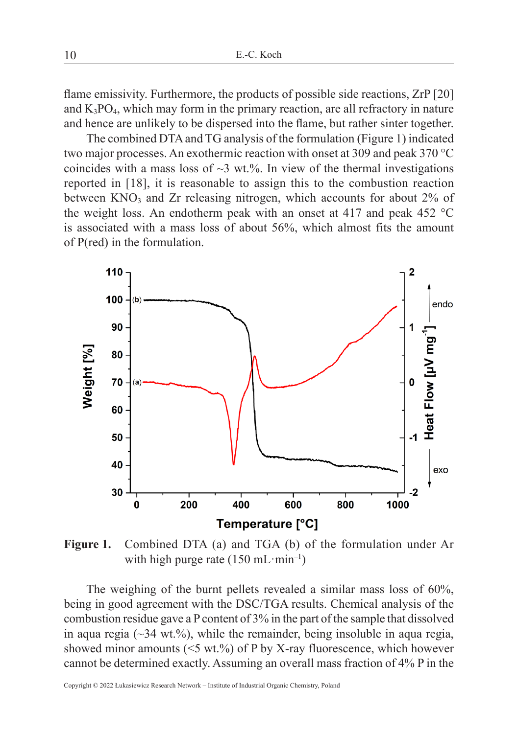flame emissivity. Furthermore, the products of possible side reactions, ZrP [20] and  $K_3PO_4$ , which may form in the primary reaction, are all refractory in nature and hence are unlikely to be dispersed into the flame, but rather sinter together.

The combined DTA and TG analysis of the formulation (Figure 1) indicated two major processes. An exothermic reaction with onset at 309 and peak 370 °C coincides with a mass loss of  $\sim$ 3 wt.%. In view of the thermal investigations reported in [18], it is reasonable to assign this to the combustion reaction between  $KNO<sub>3</sub>$  and Zr releasing nitrogen, which accounts for about 2% of the weight loss. An endotherm peak with an onset at 417 and peak 452  $^{\circ}$ C is associated with a mass loss of about 56%, which almost fits the amount of P(red) in the formulation.



**Figure 1.** Combined DTA (a) and TGA (b) of the formulation under Ar with high purge rate  $(150 \text{ mL}\cdot\text{min}^{-1})$ 

The weighing of the burnt pellets revealed a similar mass loss of 60%, being in good agreement with the DSC/TGA results. Chemical analysis of the combustion residue gave a P content of 3% in the part of the sample that dissolved in aqua regia  $(\sim 34 \text{ wt.}\%)$ , while the remainder, being insoluble in aqua regia, showed minor amounts  $(<5$  wt.%) of P by X-ray fluorescence, which however cannot be determined exactly. Assuming an overall mass fraction of 4% P in the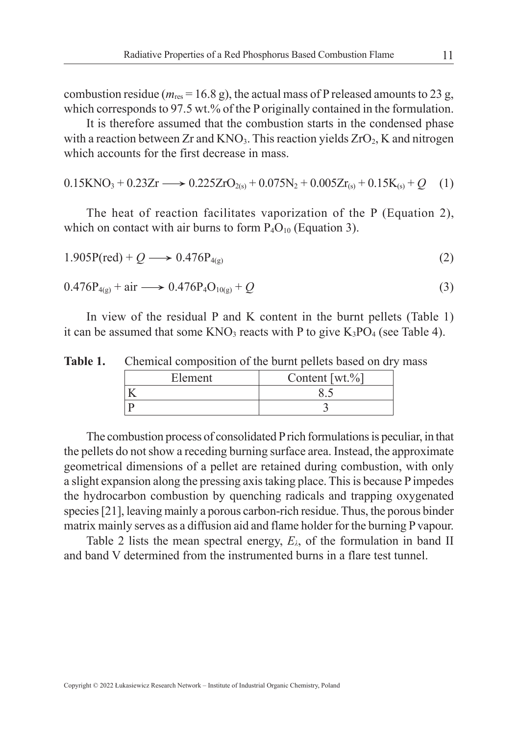combustion residue ( $m_{res}$  = 16.8 g), the actual mass of P released amounts to 23 g, which corresponds to 97.5 wt.% of the P originally contained in the formulation.

It is therefore assumed that the combustion starts in the condensed phase with a reaction between  $Zr$  and  $KNO<sub>3</sub>$ . This reaction yields  $ZrO<sub>2</sub>$ , K and nitrogen which accounts for the first decrease in mass.

$$
0.15\text{KNO}_3 + 0.23\text{Zr} \longrightarrow 0.225\text{ZrO}_{2(s)} + 0.075\text{N}_2 + 0.005\text{Zr}_{(s)} + 0.15\text{K}_{(s)} + Q \quad (1)
$$

The heat of reaction facilitates vaporization of the P (Equation 2), which on contact with air burns to form  $P_4O_{10}$  (Equation 3).

$$
1.905P(\text{red}) + Q \longrightarrow 0.476P_{4(g)} \tag{2}
$$

$$
0.476P_{4(g)} + air \longrightarrow 0.476P_4O_{10(g)} + Q
$$
\n(3)

In view of the residual P and K content in the burnt pellets (Table 1) it can be assumed that some  $KNO_3$  reacts with P to give  $K_3PO_4$  (see Table 4).

| Table 1.<br>Chemical composition of the burnt pellets based on dry mass |
|-------------------------------------------------------------------------|
|-------------------------------------------------------------------------|

| Element. | Content [wt.%] |  |
|----------|----------------|--|
|          |                |  |
|          |                |  |

The combustion process of consolidated P rich formulations is peculiar, in that the pellets do not show a receding burning surface area. Instead, the approximate geometrical dimensions of a pellet are retained during combustion, with only a slight expansion along the pressing axis taking place. This is because P impedes the hydrocarbon combustion by quenching radicals and trapping oxygenated species[21], leaving mainly a porous carbon-rich residue. Thus, the porous binder matrix mainly serves as a diffusion aid and flame holder for the burning Pvapour.

Table 2 lists the mean spectral energy,  $E_\lambda$ , of the formulation in band II and band V determined from the instrumented burns in a flare test tunnel.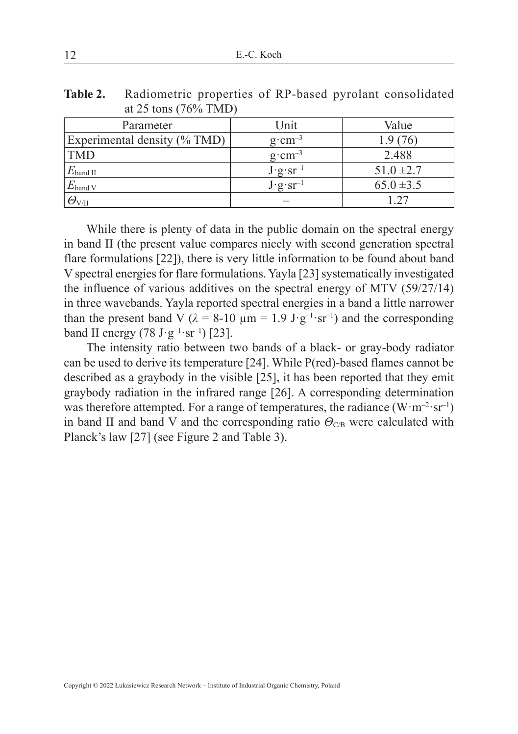| Table 2. Radiometric properties of RP-based pyrolant consolidated |
|-------------------------------------------------------------------|
| at 25 tons $(76\% \text{ TMD})$                                   |

| Parameter                    | Unit                                                            | Value          |
|------------------------------|-----------------------------------------------------------------|----------------|
| Experimental density (% TMD) | $g \cdot cm^{-3}$                                               | 1.9 (76)       |
| <b>TMD</b>                   | $g \cdot cm^{-3}$                                               | 2.488          |
| $E_{\mathrm{band \, II}}$    | $J \cdot g \cdot sr^{-1}$                                       | $51.0 \pm 2.7$ |
| $E_{\text{band V}}$          | $\overline{\mathbf{J} \cdot \mathbf{g} \cdot \mathbf{sr}^{-1}}$ | $65.0 \pm 3.5$ |
| $\varTheta_{\rm VII}$        |                                                                 | - 27           |

While there is plenty of data in the public domain on the spectral energy in band II (the present value compares nicely with second generation spectral flare formulations [22]), there is very little information to be found about band V spectral energies for flare formulations. Yayla [23] systematically investigated the influence of various additives on the spectral energy of MTV (59/27/14) in three wavebands. Yayla reported spectral energies in a band a little narrower than the present band V ( $\lambda = 8{\text -}10 \text{ }\mu\text{m} = 1.9 \text{ J}\cdot\text{g}^{-1}\cdot\text{sr}^{-1}$ ) and the corresponding band II energy (78  $J·g<sup>-1</sup>·sr<sup>-1</sup>$ ) [23].

The intensity ratio between two bands of a black- or gray-body radiator can be used to derive its temperature [24]. While P(red)-based flames cannot be described as a graybody in the visible [25], it has been reported that they emit graybody radiation in the infrared range [26]. A corresponding determination was therefore attempted. For a range of temperatures, the radiance  $(W \cdot m^{-2} \cdot sr^{-1})$ in band II and band V and the corresponding ratio  $\Theta_{\text{CB}}$  were calculated with Planck's law [27] (see Figure 2 and Table 3).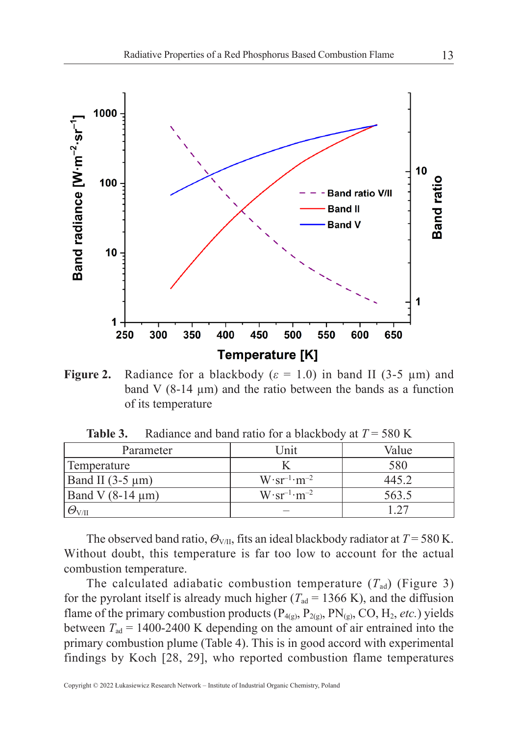

**Figure 2.** Radiance for a blackbody  $(\varepsilon = 1.0)$  in band II (3-5  $\mu$ m) and band V (8-14 µm) and the ratio between the bands as a function of its temperature

| Parameter              | Unit                           | Value |
|------------------------|--------------------------------|-------|
| Temperature            |                                | 580   |
| Band II $(3-5 \mu m)$  | $W \cdot sr^{-1} \cdot m^{-2}$ | 445.2 |
| Band V $(8-14 \mu m)$  | $W \cdot sr^{-1} \cdot m^{-2}$ | 563.5 |
| $\varTheta_{\rm V/II}$ |                                |       |

**Table 3.** Radiance and band ratio for a blackbody at  $T = 580$  K

The observed band ratio,  $\Theta_{V/I}$ , fits an ideal blackbody radiator at  $T = 580$  K. Without doubt, this temperature is far too low to account for the actual combustion temperature.

The calculated adiabatic combustion temperature  $(T_{ad})$  (Figure 3) for the pyrolant itself is already much higher ( $T_{ad} = 1366$  K), and the diffusion flame of the primary combustion products  $(P_{4(g)}, P_{2(g)}, PN_{(g)}, CO, H_2, etc.)$  yields between  $T_{ad} = 1400-2400$  K depending on the amount of air entrained into the primary combustion plume (Table 4). This is in good accord with experimental findings by Koch [28, 29], who reported combustion flame temperatures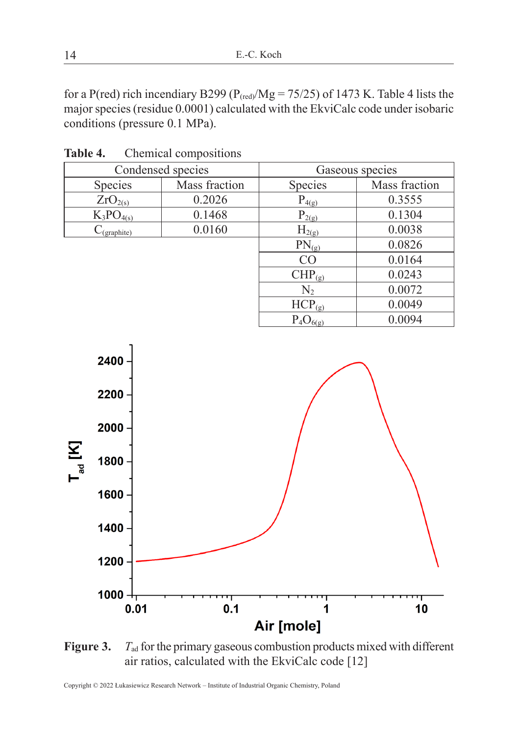for a P(red) rich incendiary B299 ( $P_{(red)}/Mg = 75/25$ ) of 1473 K. Table 4 lists the major species(residue 0.0001) calculated with the EkviCalc code under isobaric conditions (pressure 0.1 MPa).

| Condensed species |               | Gaseous species |               |
|-------------------|---------------|-----------------|---------------|
| Species           | Mass fraction | Species         | Mass fraction |
| $ZrO_{2(s)}$      | 0.2026        | $P_{4(g)}$      | 0.3555        |
| $K_3PO_{4(s)}$    | 0.1468        | $P_{2(g)}$      | 0.1304        |
| $C_{(graphite)}$  | 0.0160        | $H_{2(g)}$      | 0.0038        |
|                   |               | $PN_{(g)}$      | 0.0826        |
|                   |               | CO              | 0.0164        |
|                   |               | $CHP_{(g)}$     | 0.0243        |
|                   |               | $N_2$           | 0.0072        |
|                   |               | $HCP_{(g)}$     | 0.0049        |
|                   |               | $P_4O_{6(g)}$   | 0.0094        |
|                   |               |                 |               |

**Table 4.** Chemical compositions



Figure 3. *T*<sub>ad</sub> for the primary gaseous combustion products mixed with different air ratios, calculated with the EkviCalc code [12]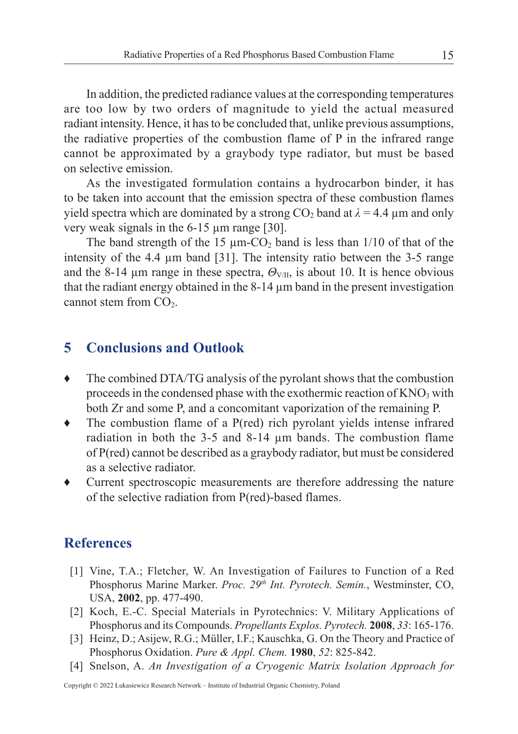In addition, the predicted radiance values at the corresponding temperatures are too low by two orders of magnitude to yield the actual measured radiant intensity. Hence, it has to be concluded that, unlike previous assumptions, the radiative properties of the combustion flame of P in the infrared range cannot be approximated by a graybody type radiator, but must be based on selective emission.

As the investigated formulation contains a hydrocarbon binder, it has to be taken into account that the emission spectra of these combustion flames yield spectra which are dominated by a strong  $CO_2$  band at  $\lambda = 4.4 \mu$ m and only very weak signals in the 6-15 µm range [30].

The band strength of the 15  $\mu$ m-CO<sub>2</sub> band is less than 1/10 of that of the intensity of the 4.4 µm band [31]. The intensity ratio between the 3-5 range and the 8-14  $\mu$ m range in these spectra,  $\Theta_{V/I}$ , is about 10. It is hence obvious that the radiant energy obtained in the 8-14 µm band in the present investigation cannot stem from  $CO<sub>2</sub>$ .

### **5 Conclusions and Outlook**

- ♦ The combined DTA/TG analysis of the pyrolant shows that the combustion proceeds in the condensed phase with the exothermic reaction of  $KNO<sub>3</sub>$  with both Zr and some P, and a concomitant vaporization of the remaining P.
- ♦ The combustion flame of a P(red) rich pyrolant yields intense infrared radiation in both the 3-5 and 8-14 µm bands. The combustion flame of P(red) cannot be described as a graybody radiator, but must be considered as a selective radiator.
- Current spectroscopic measurements are therefore addressing the nature of the selective radiation from P(red)-based flames.

### **References**

- [1] Vine, T.A.; Fletcher, W. An Investigation of Failures to Function of a Red Phosphorus Marine Marker. *Proc. 29th Int. Pyrotech. Semin.*, Westminster, CO, USA, **2002**, pp. 477-490.
- [2] Koch, E.-C. Special Materials in Pyrotechnics: V. Military Applications of Phosphorus and its Compounds. *Propellants Explos. Pyrotech.* **2008**, *33*: 165-176.
- [3] Heinz, D.; Asijew, R.G.; Müller, I.F.; Kauschka, G. On the Theory and Practice of Phosphorus Oxidation. *Pure & Appl. Chem.* **1980**, *52*: 825-842.
- [4] Snelson, A. *An Investigation of a Cryogenic Matrix Isolation Approach for*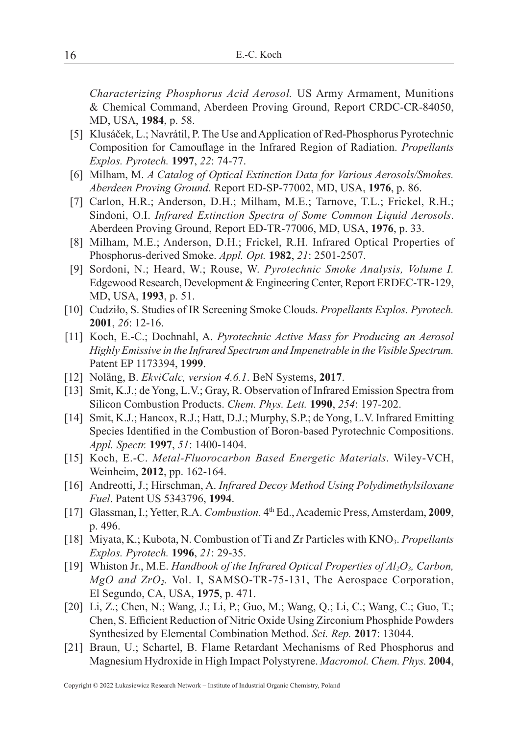*Characterizing Phosphorus Acid Aerosol.* US Army Armament, Munitions & Chemical Command, Aberdeen Proving Ground, Report CRDC-CR-84050, MD, USA, **1984**, p. 58.

- [5] Klusáček, L.; Navrátil, P. The Use and Application of Red-Phosphorus Pyrotechnic Composition for Camouflage in the Infrared Region of Radiation. *Propellants Explos. Pyrotech.* **1997**, *22*: 74-77.
- [6] Milham, M. *A Catalog of Optical Extinction Data for Various Aerosols/Smokes. Aberdeen Proving Ground.* Report ED-SP-77002, MD, USA, **1976**, p. 86.
- [7] Carlon, H.R.; Anderson, D.H.; Milham, M.E.; Tarnove, T.L.; Frickel, R.H.; Sindoni, O.I. *Infrared Extinction Spectra of Some Common Liquid Aerosols*. Aberdeen Proving Ground, Report ED-TR-77006, MD, USA, **1976**, p. 33.
- [8] Milham, M.E.; Anderson, D.H.; Frickel, R.H. Infrared Optical Properties of Phosphorus-derived Smoke. *Appl. Opt.* **1982**, *21*: 2501-2507.
- [9] Sordoni, N.; Heard, W.; Rouse, W. *Pyrotechnic Smoke Analysis, Volume I.* Edgewood Research, Development & Engineering Center, Report ERDEC-TR-129, MD, USA, **1993**, p. 51.
- [10] Cudziło, S. Studies of IR Screening Smoke Clouds. *Propellants Explos. Pyrotech.* **2001**, *26*: 12-16.
- [11] Koch, E.-C.; Dochnahl, A. *Pyrotechnic Active Mass for Producing an Aerosol Highly Emissive in the Infrared Spectrum and Impenetrable in the Visible Spectrum.*  Patent EP 1173394, **1999**.
- [12] Noläng, B. *EkviCalc, version 4.6.1*. BeN Systems, **2017**.
- [13] Smit, K.J.; de Yong, L.V.; Gray, R. Observation of Infrared Emission Spectra from Silicon Combustion Products. *Chem. Phys. Lett.* **1990**, *254*: 197-202.
- [14] Smit, K.J.; Hancox, R.J.; Hatt, D.J.; Murphy, S.P.; de Yong, L.V. Infrared Emitting Species Identified in the Combustion of Boron-based Pyrotechnic Compositions. *Appl. Spectr.* **1997**, *51*: 1400-1404.
- [15] Koch, E.-C. *Metal-Fluorocarbon Based Energetic Materials*. Wiley-VCH, Weinheim, **2012**, pp. 162-164.
- [16] Andreotti, J.; Hirschman, A. *Infrared Decoy Method Using Polydimethylsiloxane Fuel*. Patent US 5343796, **1994**.
- [17] Glassman, I.; Yetter, R.A. *Combustion.* 4th Ed., Academic Press, Amsterdam, **2009**, p. 496.
- [18] Miyata, K.; Kubota, N. Combustion of Ti and Zr Particles with KNO3. *Propellants Explos. Pyrotech.* **1996**, *21*: 29-35.
- [19] Whiston Jr., M.E. *Handbook of the Infrared Optical Properties of Al<sub>2</sub>O<sub>3</sub>, Carbon, MgO and ZrO<sub>2</sub>*. Vol. I, SAMSO-TR-75-131, The Aerospace Corporation, El Segundo, CA, USA, **1975**, p. 471.
- [20] Li, Z.; Chen, N.; Wang, J.; Li, P.; Guo, M.; Wang, Q.; Li, C.; Wang, C.; Guo, T.; Chen, S. Efficient Reduction of Nitric Oxide Using Zirconium Phosphide Powders Synthesized by Elemental Combination Method. *Sci. Rep.* **2017**: 13044.
- [21] Braun, U.; Schartel, B. Flame Retardant Mechanisms of Red Phosphorus and Magnesium Hydroxide in High Impact Polystyrene. *Macromol. Chem. Phys.* **2004**,